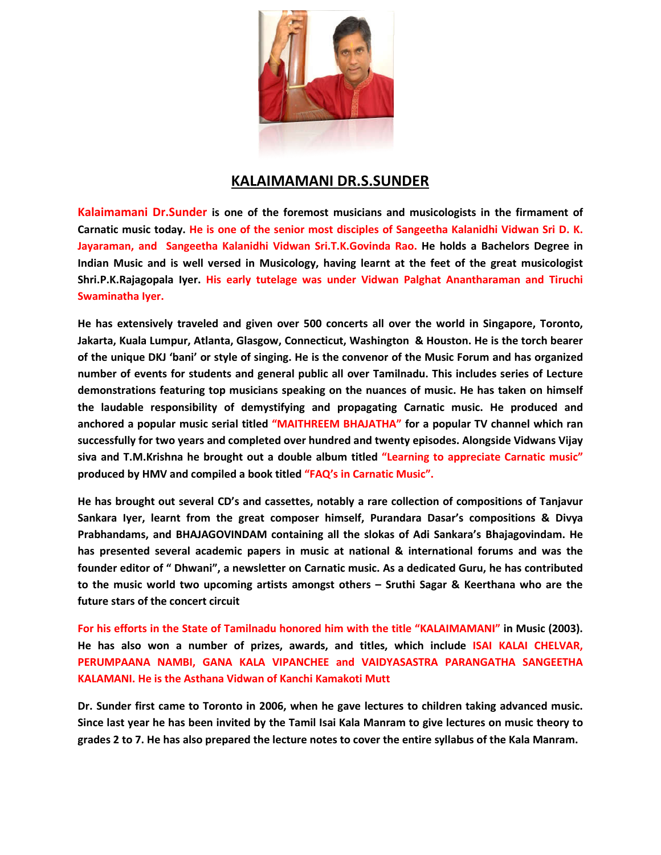

## **KALAIMAMANI DR.S.SUNDER**

**Kalaimamani Dr.Sunder is one of the foremost musicians and musicologists in the firmament of**  Carnatic music today. He is one of the senior most disciples of Sangeetha Kalanidhi Vidwan Sri D. K. **Jayaraman, and Sangeetha Kalanidhi Vidwan Sri.T.K.Govinda Rao. He holds a Bachelors Degree in Indian Music and is well versed in Musicology, having learnt at the feet of the great musicologist Shri.P.K.Rajagopala Iyer. His early tutelage was under Vidwan Palghat Anantharaman and Tiruchi Swaminatha Iyer. nder** is one of the foremost musicians and musicologists in the firmament of . He is one of the senior most disciples of Sangeetha Kalanidhi Vidwan Sri D. K. geetha Kalanidhi Vidwan Sri.T.K.Govinda Rao. He holds a Bachelo

He has extensively traveled and given over 500 concerts all over the world in Singapore, Toronto, **Jakarta, Kuala Lumpur, Atlanta, Glasgow, Connecticut, Washington & Houston. He is the torch bearer**  of the unique DKJ 'bani' or style of singing. He is the convenor of the Music Forum and **number of events for students and general public all over Tamilnadu. This includes series of Lecture demonstrations featuring top musicians speaking on the nuances of music. He has taken on himself the laudable responsibility of demystifying and propagating Carnatic music. He produced and anchored a popular music serial titled "MAITHREEM BHAJATHA" for a popular TV channel which ran**  successfully for two years and completed over hundred and twenty episodes. Alongside Vidwans Vijay **siva and T.M.Krishna he brought out a double album titled "Learning to appreciate Carnatic music" produced by HMV and compiled a book titled "FAQ's in Carnatic Music".** of events for students and general public all over Tamilnadu. This includes series of Lecture<br>rations featuring top musicians speaking on the nuances of music. He has taken on himself<br>lable responsibility of demystifying a

He has brought out several CD's and cassettes, notably a rare collection of compositions of Tanjavur **Sankara Iyer, learnt from the great composer himself, Purandara Dasar's compositions & Divya Prabhandams, and BHAJAGOVINDAM containing all the slokas of Adi Sankara's Bhajagovindam.**  Prabhandams, and BHAJAGOVINDAM containing all the slokas of Adi Sankara's Bhajagovindam. He<br>has presented several academic papers in music at national & international forums and was the **founder editor of " Dhwani", a newsletter on Carnatic music. As a dedicated Guru, he has contributed to the music world two upcoming artists amongst others – Sruthi Sagar & Keerthana who are the future stars of the concert circuit** founder editor of " Dhwani", a newsletter on Carnatic music. As a dedicated Guru, he has contributed<br>to the music world two upcoming artists amongst others – Sruthi Sagar & Keerthana who are the<br>future stars of the concert

**He has also won a number of prizes, awards, and titles, which include ISAI KALAI CHELVAR, PERUMPAANA NAMBI, GANA KALA VIPANCHEE and VAIDYASASTRA PARANGATHA SANGEETHA KALAMANI. He is the Asthana Vidwan of Kanchi Kamakoti Mutt**

**Dr. Sunder first came to Toronto in 2006, when he gave lectures to children taking advanced music. Since last year he has been invited by the Tamil Isai Kala Manram to give lectures on music theory to**  grades 2 to 7. He has also prepared the lecture notes to cover the entire syllabus of the Kala Manram. **ISAI KALAI CHELVAR,**<br> **IMPAANA NAMBI, GANA KALA VIPANCHEE and VAIDYASASTRA PARANGATHA SANGEETHA**<br> **AMANI.** He is the Asthana Vidwan of Kanchi Kamakoti Mutt<br>
Sunder first came to Toronto in 2006, when he gave lectures to c